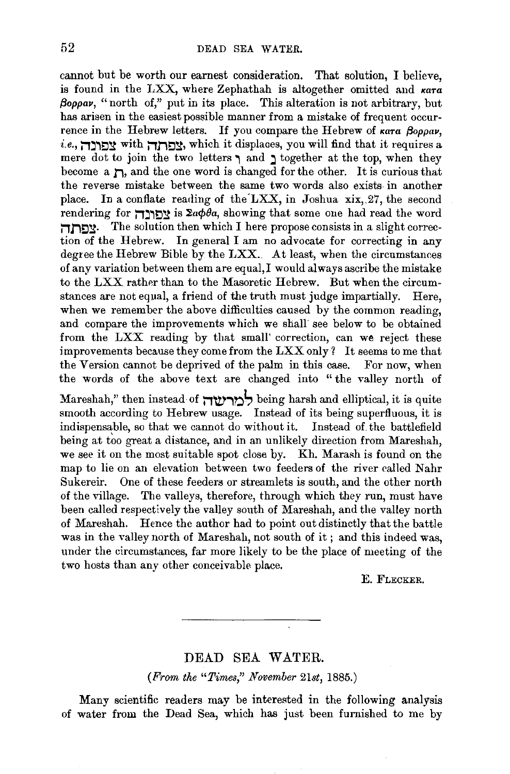cannot but be worth our earnest consideration. That solution, I believe, is found in the LXX, where Zephathah is altogether omitted and  $\kappa a\tau a$ *{3oppav,* "north of," put in its place. This alteration is not arbitrary, but has arisen in the easiest possible manner from a mistake of frequent occurrence in the Hebrew letters. If you compare the Hebrew of  $\kappa a\tau a$   $\beta o\rho\rho a\nu$ ,  $i.e.,$  **you with yighth** it displaces, you will find that it requires a mere dot to join the two letters  $\eta$  and  $\eta$  together at the top, when they become a  $\eta$ , and the one word is changed for the other. It is curious that the reverse mistake between the same two words also exists. in another place. In a conflate reading of the LXX, in Joshua  $\overline{x}$ ix, 27, the second rendering for *γ*<sub>Ωγ</sub> is *Σαφθα*, showing that some one had read the word Ml1E:l~· The solution then which I here propose consists in a slight correction of the Hebrew. In general I am no advocate for correcting in any degree the Hebrew Bible by the  $LXX$ . At least, when the circumstances of any variation between them are equal, I would always ascribe the mistake to the LXX rather than to the Masoretic Hebrew. But when the circumstances are not equal, a friend of the truth must judge impartially. Here, when we remember the above difficulties caused by the common reading, and compare the improvements which we shall' see below to be obtained from the LXX reading by that small' correction, can we reject these improvements because they come from the  $LXX$  only ? It seems to me that the Version cannot be deprived of the palm in this case. For now, when the words of the above text are changed into " the valley north of Mareshah," then instead of **M'tV'.,OS** being harsh and elliptical, it is quite smooth according to Hebrew usage. Instead of its being superfluous, it is indispensable, so that we cannot do without it. Instead of the battlefield being at too great a distance, and in an unlikely direction from Mareshah, we see it on the most suitable spot close by. Kh. Marash is found on the map to lie on an elevation between two feeders of the river called Nahr

Sukereir. One of these feeders or streamlets is south, and the other north of the village. The valleys, therefore, through which they run, must have been called respectively the valley south of Mareshah, and the valley north of Mareshah. Hence the author had to point out distinctly that the battle was in the valley north of Mareshah, not south of it ; and this indeed was, under the circumstances, far more likely to be the place of meeting of the two hosts than any other conceivable place.

E. FLECKER.

## DEAD SEA WATER.

*(From the "Times," November* 21st, 1885.)

Many scientific readers may be interested in the following analysis of water from the Dead Sea, which has just been furnished to me by